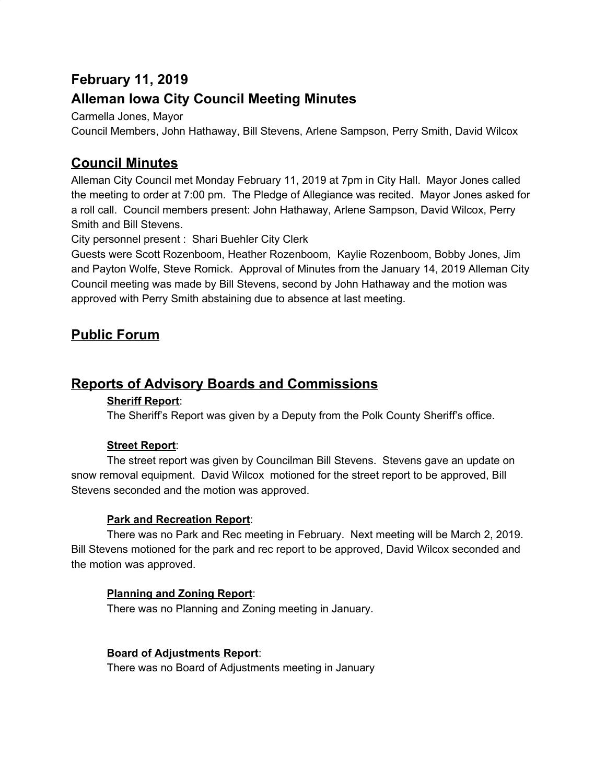# **February 11, 2019**

# **Alleman Iowa City Council Meeting Minutes**

Carmella Jones, Mayor

Council Members, John Hathaway, Bill Stevens, Arlene Sampson, Perry Smith, David Wilcox

# **Council Minutes**

Alleman City Council met Monday February 11, 2019 at 7pm in City Hall. Mayor Jones called the meeting to order at 7:00 pm. The Pledge of Allegiance was recited. Mayor Jones asked for a roll call. Council members present: John Hathaway, Arlene Sampson, David Wilcox, Perry Smith and Bill Stevens.

City personnel present : Shari Buehler City Clerk

Guests were Scott Rozenboom, Heather Rozenboom, Kaylie Rozenboom, Bobby Jones, Jim and Payton Wolfe, Steve Romick. Approval of Minutes from the January 14, 2019 Alleman City Council meeting was made by Bill Stevens, second by John Hathaway and the motion was approved with Perry Smith abstaining due to absence at last meeting.

# **Public Forum**

## **Reports of Advisory Boards and Commissions**

### **Sheriff Report**:

The Sheriff's Report was given by a Deputy from the Polk County Sheriff's office.

### **Street Report**:

The street report was given by Councilman Bill Stevens. Stevens gave an update on snow removal equipment. David Wilcox motioned for the street report to be approved, Bill Stevens seconded and the motion was approved.

### **Park and Recreation Report**:

There was no Park and Rec meeting in February. Next meeting will be March 2, 2019. Bill Stevens motioned for the park and rec report to be approved, David Wilcox seconded and the motion was approved.

### **Planning and Zoning Report**:

There was no Planning and Zoning meeting in January.

### **Board of Adjustments Report**:

There was no Board of Adjustments meeting in January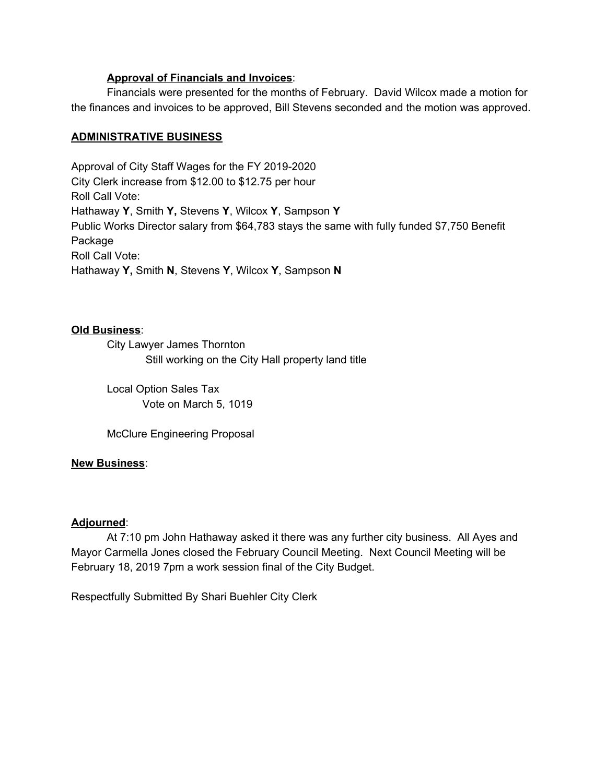#### **Approval of Financials and Invoices**:

Financials were presented for the months of February. David Wilcox made a motion for the finances and invoices to be approved, Bill Stevens seconded and the motion was approved.

#### **ADMINISTRATIVE BUSINESS**

Approval of City Staff Wages for the FY 2019-2020 City Clerk increase from \$12.00 to \$12.75 per hour Roll Call Vote: Hathaway **Y**, Smith **Y,** Stevens **Y**, Wilcox **Y**, Sampson **Y** Public Works Director salary from \$64,783 stays the same with fully funded \$7,750 Benefit Package Roll Call Vote: Hathaway **Y,** Smith **N**, Stevens **Y**, Wilcox **Y**, Sampson **N**

#### **Old Business**:

City Lawyer James Thornton Still working on the City Hall property land title

Local Option Sales Tax Vote on March 5, 1019

McClure Engineering Proposal

#### **New Business**:

#### **Adjourned**:

At 7:10 pm John Hathaway asked it there was any further city business. All Ayes and Mayor Carmella Jones closed the February Council Meeting. Next Council Meeting will be February 18, 2019 7pm a work session final of the City Budget.

Respectfully Submitted By Shari Buehler City Clerk